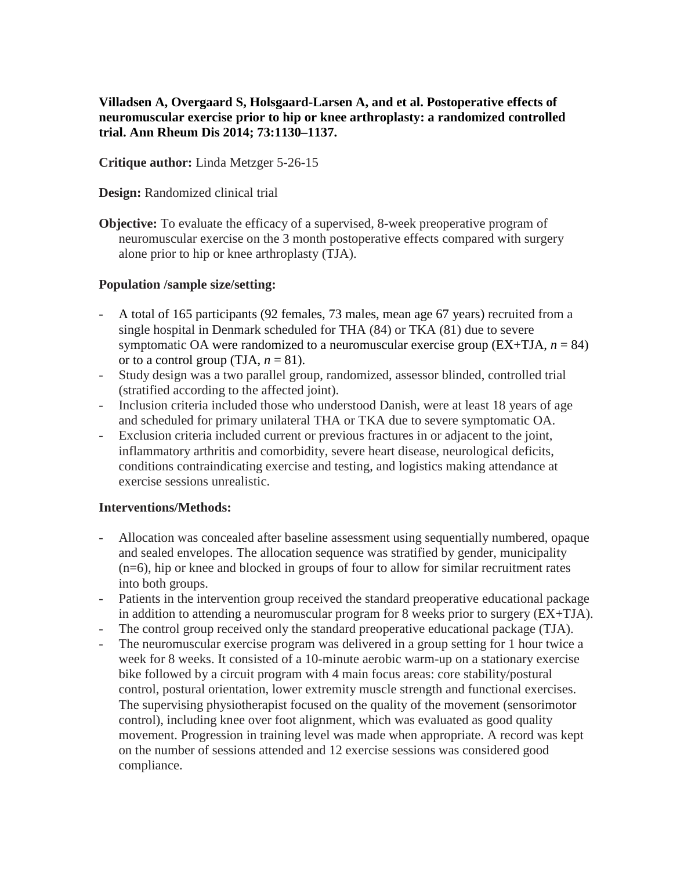**Villadsen A, Overgaard S, Holsgaard-Larsen A, and et al. Postoperative effects of neuromuscular exercise prior to hip or knee arthroplasty: a randomized controlled trial. Ann Rheum Dis 2014; 73:1130–1137.**

**Critique author:** Linda Metzger 5-26-15

**Design:** Randomized clinical trial

**Objective:** To evaluate the efficacy of a supervised, 8-week preoperative program of neuromuscular exercise on the 3 month postoperative effects compared with surgery alone prior to hip or knee arthroplasty (TJA).

# **Population /sample size/setting:**

- A total of 165 participants (92 females, 73 males, mean age 67 years) recruited from a single hospital in Denmark scheduled for THA (84) or TKA (81) due to severe symptomatic OA were randomized to a neuromuscular exercise group  $(EX+TJA, n = 84)$ or to a control group (TJA,  $n = 81$ ).
- Study design was a two parallel group, randomized, assessor blinded, controlled trial (stratified according to the affected joint).
- Inclusion criteria included those who understood Danish, were at least 18 years of age and scheduled for primary unilateral THA or TKA due to severe symptomatic OA.
- Exclusion criteria included current or previous fractures in or adjacent to the joint, inflammatory arthritis and comorbidity, severe heart disease, neurological deficits, conditions contraindicating exercise and testing, and logistics making attendance at exercise sessions unrealistic.

# **Interventions/Methods:**

- Allocation was concealed after baseline assessment using sequentially numbered, opaque and sealed envelopes. The allocation sequence was stratified by gender, municipality (n=6), hip or knee and blocked in groups of four to allow for similar recruitment rates into both groups.
- Patients in the intervention group received the standard preoperative educational package in addition to attending a neuromuscular program for 8 weeks prior to surgery (EX+TJA).
- The control group received only the standard preoperative educational package (TJA).
- The neuromuscular exercise program was delivered in a group setting for 1 hour twice a week for 8 weeks. It consisted of a 10-minute aerobic warm-up on a stationary exercise bike followed by a circuit program with 4 main focus areas: core stability/postural control, postural orientation, lower extremity muscle strength and functional exercises. The supervising physiotherapist focused on the quality of the movement (sensorimotor control), including knee over foot alignment, which was evaluated as good quality movement. Progression in training level was made when appropriate. A record was kept on the number of sessions attended and 12 exercise sessions was considered good compliance.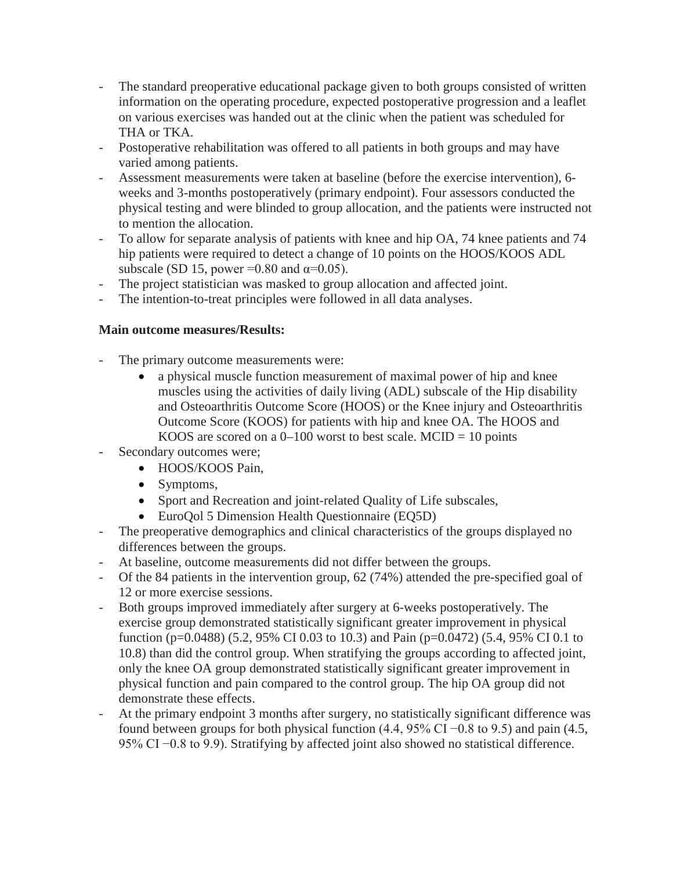- The standard preoperative educational package given to both groups consisted of written information on the operating procedure, expected postoperative progression and a leaflet on various exercises was handed out at the clinic when the patient was scheduled for THA or TKA.
- Postoperative rehabilitation was offered to all patients in both groups and may have varied among patients.
- Assessment measurements were taken at baseline (before the exercise intervention), 6 weeks and 3-months postoperatively (primary endpoint). Four assessors conducted the physical testing and were blinded to group allocation, and the patients were instructed not to mention the allocation.
- To allow for separate analysis of patients with knee and hip OA, 74 knee patients and 74 hip patients were required to detect a change of 10 points on the HOOS/KOOS ADL subscale (SD 15, power =0.80 and  $\alpha$ =0.05).
- The project statistician was masked to group allocation and affected joint.
- The intention-to-treat principles were followed in all data analyses.

# **Main outcome measures/Results:**

- The primary outcome measurements were:
	- a physical muscle function measurement of maximal power of hip and knee muscles using the activities of daily living (ADL) subscale of the Hip disability and Osteoarthritis Outcome Score (HOOS) or the Knee injury and Osteoarthritis Outcome Score (KOOS) for patients with hip and knee OA. The HOOS and KOOS are scored on a  $0-100$  worst to best scale. MCID = 10 points
- Secondary outcomes were;
	- HOOS/KOOS Pain.
	- Symptoms,
	- Sport and Recreation and joint-related Quality of Life subscales,
	- EuroQol 5 Dimension Health Questionnaire (EQ5D)
- The preoperative demographics and clinical characteristics of the groups displayed no differences between the groups.
- At baseline, outcome measurements did not differ between the groups.
- Of the 84 patients in the intervention group, 62 (74%) attended the pre-specified goal of 12 or more exercise sessions.
- Both groups improved immediately after surgery at 6-weeks postoperatively. The exercise group demonstrated statistically significant greater improvement in physical function (p=0.0488) (5.2, 95% CI 0.03 to 10.3) and Pain (p=0.0472) (5.4, 95% CI 0.1 to 10.8) than did the control group. When stratifying the groups according to affected joint, only the knee OA group demonstrated statistically significant greater improvement in physical function and pain compared to the control group. The hip OA group did not demonstrate these effects.
- At the primary endpoint 3 months after surgery, no statistically significant difference was found between groups for both physical function (4.4, 95% CI –0.8 to 9.5) and pain (4.5, 95% CI −0.8 to 9.9). Stratifying by affected joint also showed no statistical difference.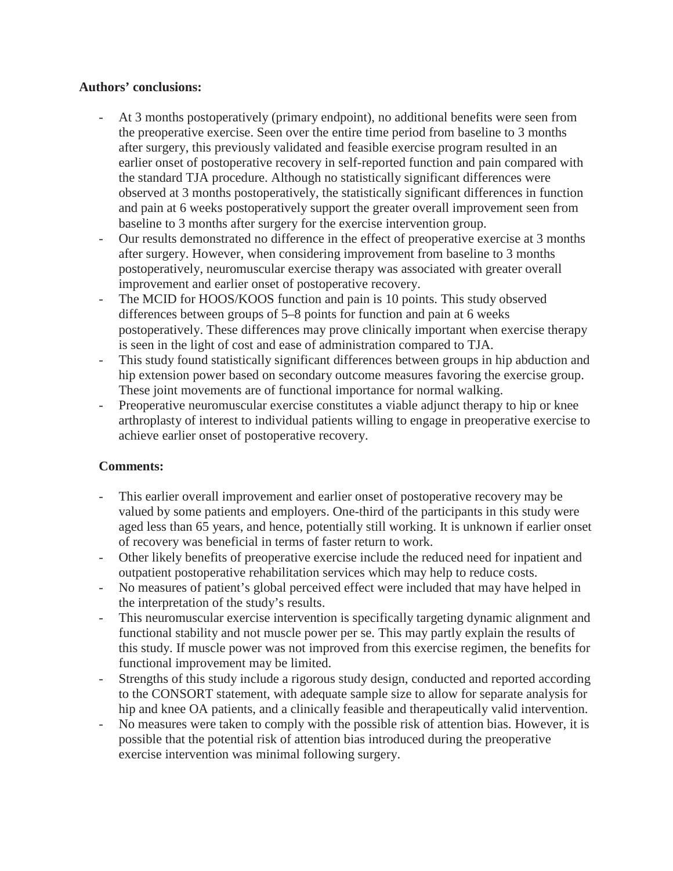## **Authors' conclusions:**

- At 3 months postoperatively (primary endpoint), no additional benefits were seen from the preoperative exercise. Seen over the entire time period from baseline to 3 months after surgery, this previously validated and feasible exercise program resulted in an earlier onset of postoperative recovery in self-reported function and pain compared with the standard TJA procedure. Although no statistically significant differences were observed at 3 months postoperatively, the statistically significant differences in function and pain at 6 weeks postoperatively support the greater overall improvement seen from baseline to 3 months after surgery for the exercise intervention group.
- Our results demonstrated no difference in the effect of preoperative exercise at 3 months after surgery. However, when considering improvement from baseline to 3 months postoperatively, neuromuscular exercise therapy was associated with greater overall improvement and earlier onset of postoperative recovery.
- The MCID for HOOS/KOOS function and pain is 10 points. This study observed differences between groups of 5–8 points for function and pain at 6 weeks postoperatively. These differences may prove clinically important when exercise therapy is seen in the light of cost and ease of administration compared to TJA.
- This study found statistically significant differences between groups in hip abduction and hip extension power based on secondary outcome measures favoring the exercise group. These joint movements are of functional importance for normal walking.
- Preoperative neuromuscular exercise constitutes a viable adjunct therapy to hip or knee arthroplasty of interest to individual patients willing to engage in preoperative exercise to achieve earlier onset of postoperative recovery.

# **Comments:**

- This earlier overall improvement and earlier onset of postoperative recovery may be valued by some patients and employers. One-third of the participants in this study were aged less than 65 years, and hence, potentially still working. It is unknown if earlier onset of recovery was beneficial in terms of faster return to work.
- Other likely benefits of preoperative exercise include the reduced need for inpatient and outpatient postoperative rehabilitation services which may help to reduce costs.
- No measures of patient's global perceived effect were included that may have helped in the interpretation of the study's results.
- This neuromuscular exercise intervention is specifically targeting dynamic alignment and functional stability and not muscle power per se. This may partly explain the results of this study. If muscle power was not improved from this exercise regimen, the benefits for functional improvement may be limited.
- Strengths of this study include a rigorous study design, conducted and reported according to the CONSORT statement, with adequate sample size to allow for separate analysis for hip and knee OA patients, and a clinically feasible and therapeutically valid intervention.
- No measures were taken to comply with the possible risk of attention bias. However, it is possible that the potential risk of attention bias introduced during the preoperative exercise intervention was minimal following surgery.